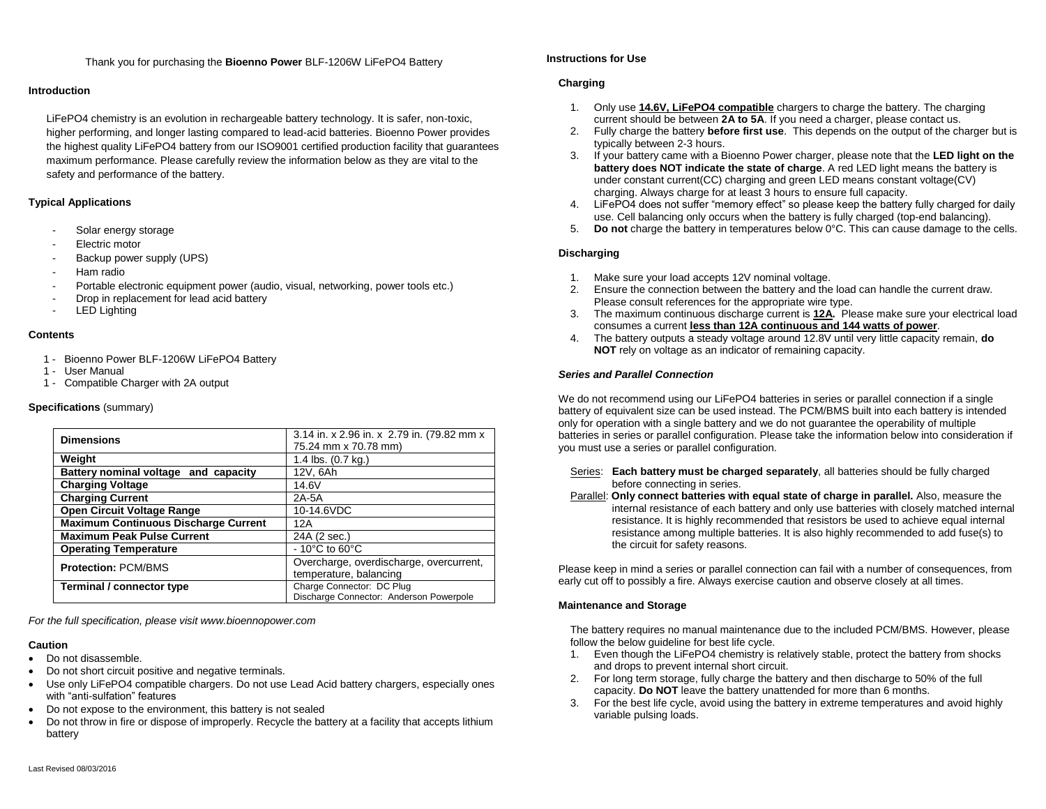Thank you for purchasing the **Bioenno Power** BLF-1206W LiFePO4 Battery

## **Introduction**

LiFePO4 chemistry is an evolution in rechargeable battery technology. It is safer, non-toxic, higher performing, and longer lasting compared to lead-acid batteries. Bioenno Power provides the highest quality LiFePO4 battery from our ISO9001 certified production facility that guarantees maximum performance. Please carefully review the information below as they are vital to the safety and performance of the battery.

## **Typical Applications**

- Solar energy storage
- Electric motor
- Backup power supply (UPS)
- Ham radio
- Portable electronic equipment power (audio, visual, networking, power tools etc.)
- Drop in replacement for lead acid battery
- LED Lighting

#### **Contents**

- 1 Bioenno Power BLF-1206W LiFePO4 Battery
- 1 User Manual
- 1 Compatible Charger with 2A output

### **Specifications** (summary)

| <b>Dimensions</b>                           | 3.14 in. x 2.96 in. x 2.79 in. (79.82 mm x |
|---------------------------------------------|--------------------------------------------|
|                                             | 75.24 mm x 70.78 mm)                       |
| Weight                                      | 1.4 lbs. (0.7 kg.)                         |
| Battery nominal voltage and capacity        | 12V, 6Ah                                   |
| <b>Charging Voltage</b>                     | 14.6V                                      |
| <b>Charging Current</b>                     | 2A-5A                                      |
| Open Circuit Voltage Range                  | 10-14.6VDC                                 |
| <b>Maximum Continuous Discharge Current</b> | 12A                                        |
| <b>Maximum Peak Pulse Current</b>           | 24A (2 sec.)                               |
| <b>Operating Temperature</b>                | $-10^{\circ}$ C to 60 $^{\circ}$ C         |
| <b>Protection: PCM/BMS</b>                  | Overcharge, overdischarge, overcurrent,    |
|                                             | temperature, balancing                     |
| Terminal / connector type                   | Charge Connector: DC Plug                  |
|                                             | Discharge Connector: Anderson Powerpole    |

*For the full specification, please visit www.bioennopower.com*

## **Caution**

- Do not disassemble.
- Do not short circuit positive and negative terminals.
- Use only LiFePO4 compatible chargers. Do not use Lead Acid battery chargers, especially ones with "anti-sulfation" features
- Do not expose to the environment, this battery is not sealed
- Do not throw in fire or dispose of improperly. Recycle the battery at a facility that accepts lithium battery

## **Instructions for Use**

# **Charging**

- 1. Only use **14.6V, LiFePO4 compatible** chargers to charge the battery. The charging current should be between **2A to 5A**. If you need a charger, please contact us.
- 2. Fully charge the battery **before first use**. This depends on the output of the charger but is typically between 2-3 hours.
- 3. If your battery came with a Bioenno Power charger, please note that the **LED light on the battery does NOT indicate the state of charge**. A red LED light means the battery is under constant current(CC) charging and green LED means constant voltage(CV) charging. Always charge for at least 3 hours to ensure full capacity.
- 4. LiFePO4 does not suffer "memory effect" so please keep the battery fully charged for daily use. Cell balancing only occurs when the battery is fully charged (top-end balancing).
- 5. **Do not** charge the battery in temperatures below 0°C. This can cause damage to the cells.

### **Discharging**

- 1. Make sure your load accepts 12V nominal voltage.
- 2. Ensure the connection between the battery and the load can handle the current draw. Please consult references for the appropriate wire type.
- 3. The maximum continuous discharge current is **12A.** Please make sure your electrical load consumes a current **less than 12A continuous and 144 watts of power**.
- 4. The battery outputs a steady voltage around 12.8V until very little capacity remain, **do NOT** rely on voltage as an indicator of remaining capacity.

# *Series and Parallel Connection*

We do not recommend using our LiFePO4 batteries in series or parallel connection if a single battery of equivalent size can be used instead. The PCM/BMS built into each battery is intended only for operation with a single battery and we do not guarantee the operability of multiple batteries in series or parallel configuration. Please take the information below into consideration if you must use a series or parallel configuration.

- Series: **Each battery must be charged separately**, all batteries should be fully charged before connecting in series.
- Parallel: **Only connect batteries with equal state of charge in parallel.** Also, measure the internal resistance of each battery and only use batteries with closely matched internal resistance. It is highly recommended that resistors be used to achieve equal internal resistance among multiple batteries. It is also highly recommended to add fuse(s) to the circuit for safety reasons.

Please keep in mind a series or parallel connection can fail with a number of consequences, from early cut off to possibly a fire. Always exercise caution and observe closely at all times.

# **Maintenance and Storage**

The battery requires no manual maintenance due to the included PCM/BMS. However, please follow the below quideline for best life cycle.

- 1. Even though the LiFePO4 chemistry is relatively stable, protect the battery from shocks and drops to prevent internal short circuit.
- 2. For long term storage, fully charge the battery and then discharge to 50% of the full capacity. **Do NOT** leave the battery unattended for more than 6 months.
- 3. For the best life cycle, avoid using the battery in extreme temperatures and avoid highly variable pulsing loads.